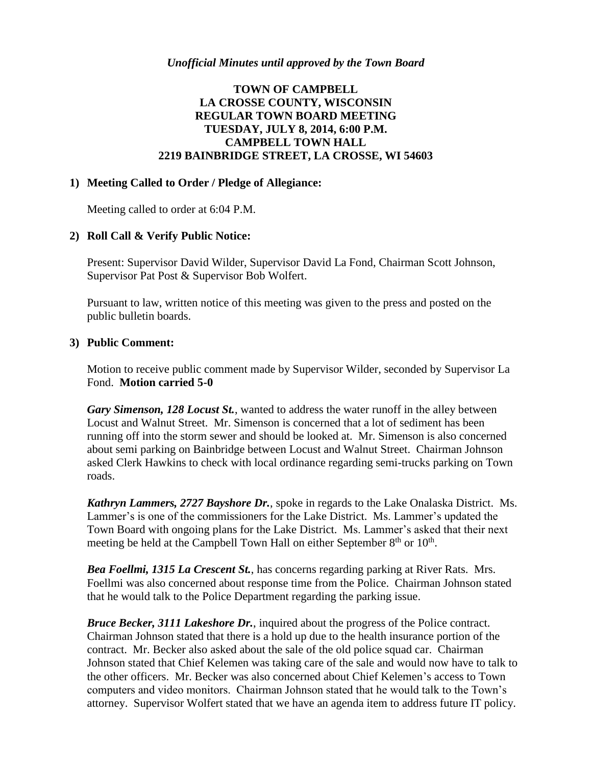# **TOWN OF CAMPBELL LA CROSSE COUNTY, WISCONSIN REGULAR TOWN BOARD MEETING TUESDAY, JULY 8, 2014, 6:00 P.M. CAMPBELL TOWN HALL 2219 BAINBRIDGE STREET, LA CROSSE, WI 54603**

#### **1) Meeting Called to Order / Pledge of Allegiance:**

Meeting called to order at 6:04 P.M.

### **2) Roll Call & Verify Public Notice:**

Present: Supervisor David Wilder, Supervisor David La Fond, Chairman Scott Johnson, Supervisor Pat Post & Supervisor Bob Wolfert.

Pursuant to law, written notice of this meeting was given to the press and posted on the public bulletin boards.

### **3) Public Comment:**

Motion to receive public comment made by Supervisor Wilder, seconded by Supervisor La Fond. **Motion carried 5-0**

*Gary Simenson, 128 Locust St.*, wanted to address the water runoff in the alley between Locust and Walnut Street. Mr. Simenson is concerned that a lot of sediment has been running off into the storm sewer and should be looked at. Mr. Simenson is also concerned about semi parking on Bainbridge between Locust and Walnut Street. Chairman Johnson asked Clerk Hawkins to check with local ordinance regarding semi-trucks parking on Town roads.

*Kathryn Lammers, 2727 Bayshore Dr.*, spoke in regards to the Lake Onalaska District. Ms. Lammer's is one of the commissioners for the Lake District. Ms. Lammer's updated the Town Board with ongoing plans for the Lake District. Ms. Lammer's asked that their next meeting be held at the Campbell Town Hall on either September  $8<sup>th</sup>$  or  $10<sup>th</sup>$ .

*Bea Foellmi, 1315 La Crescent St.*, has concerns regarding parking at River Rats. Mrs. Foellmi was also concerned about response time from the Police. Chairman Johnson stated that he would talk to the Police Department regarding the parking issue.

*Bruce Becker, 3111 Lakeshore Dr.*, inquired about the progress of the Police contract. Chairman Johnson stated that there is a hold up due to the health insurance portion of the contract. Mr. Becker also asked about the sale of the old police squad car. Chairman Johnson stated that Chief Kelemen was taking care of the sale and would now have to talk to the other officers. Mr. Becker was also concerned about Chief Kelemen's access to Town computers and video monitors. Chairman Johnson stated that he would talk to the Town's attorney. Supervisor Wolfert stated that we have an agenda item to address future IT policy.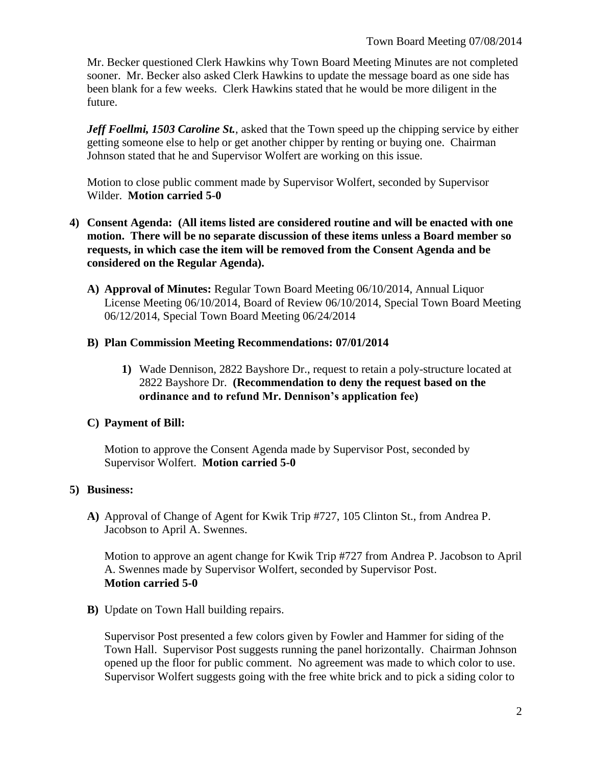Mr. Becker questioned Clerk Hawkins why Town Board Meeting Minutes are not completed sooner. Mr. Becker also asked Clerk Hawkins to update the message board as one side has been blank for a few weeks. Clerk Hawkins stated that he would be more diligent in the future.

*Jeff Foellmi, 1503 Caroline St., asked that the Town speed up the chipping service by either* getting someone else to help or get another chipper by renting or buying one. Chairman Johnson stated that he and Supervisor Wolfert are working on this issue.

Motion to close public comment made by Supervisor Wolfert, seconded by Supervisor Wilder. **Motion carried 5-0**

- **4) Consent Agenda: (All items listed are considered routine and will be enacted with one motion. There will be no separate discussion of these items unless a Board member so requests, in which case the item will be removed from the Consent Agenda and be considered on the Regular Agenda).**
	- **A) Approval of Minutes:** Regular Town Board Meeting 06/10/2014, Annual Liquor License Meeting 06/10/2014, Board of Review 06/10/2014, Special Town Board Meeting 06/12/2014, Special Town Board Meeting 06/24/2014

### **B) Plan Commission Meeting Recommendations: 07/01/2014**

**1)** Wade Dennison, 2822 Bayshore Dr., request to retain a poly-structure located at 2822 Bayshore Dr. **(Recommendation to deny the request based on the ordinance and to refund Mr. Dennison's application fee)**

## **C) Payment of Bill:**

Motion to approve the Consent Agenda made by Supervisor Post, seconded by Supervisor Wolfert. **Motion carried 5-0**

## **5) Business:**

**A)** Approval of Change of Agent for Kwik Trip #727, 105 Clinton St., from Andrea P. Jacobson to April A. Swennes.

Motion to approve an agent change for Kwik Trip #727 from Andrea P. Jacobson to April A. Swennes made by Supervisor Wolfert, seconded by Supervisor Post. **Motion carried 5-0**

**B)** Update on Town Hall building repairs.

Supervisor Post presented a few colors given by Fowler and Hammer for siding of the Town Hall. Supervisor Post suggests running the panel horizontally. Chairman Johnson opened up the floor for public comment. No agreement was made to which color to use. Supervisor Wolfert suggests going with the free white brick and to pick a siding color to